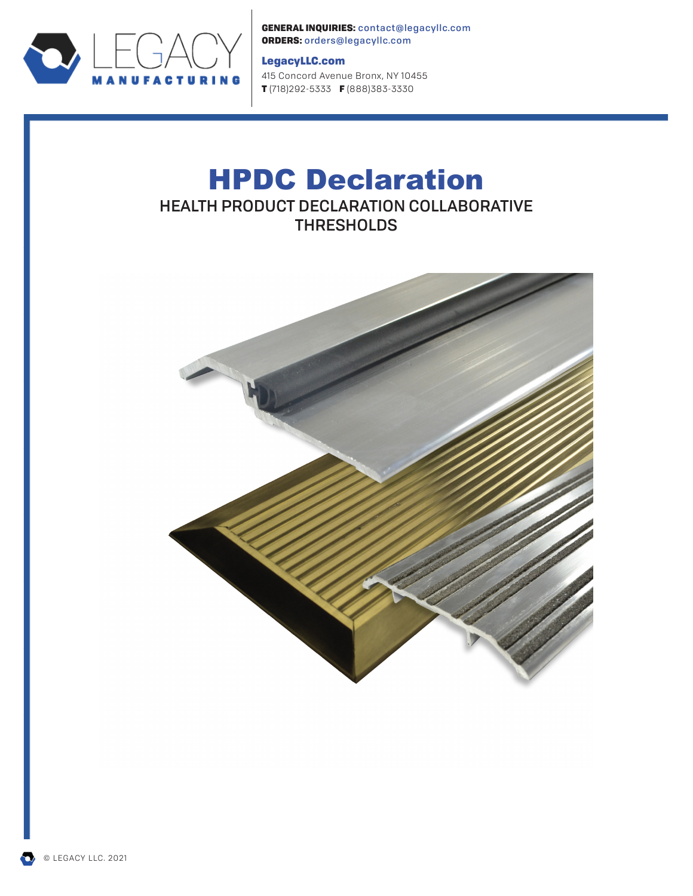

GENERAL INQUIRIES: contact@legacyllc.com ORDERS: orders@legacyllc.com

#### LegacyLLC.com

415 Concord Avenue Bronx, NY 10455 T (718)292-5333 F (888)383-3330

# HPDC Declaration HEALTH PRODUCT DECLARATION COLLABORATIVE **THRESHOLDS**

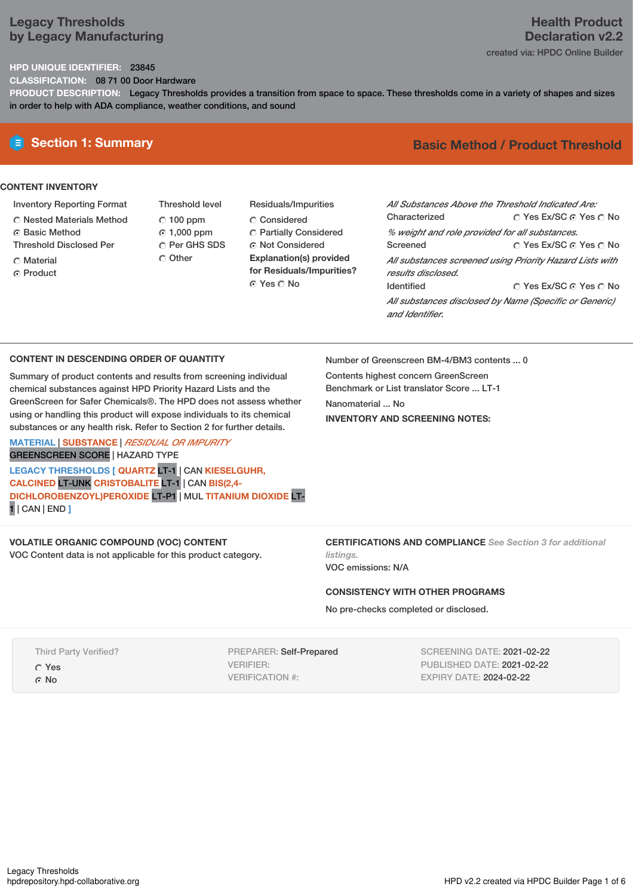# **Legacy Thresholds by Legacy Manufacturing**

# **Health Product Declaration v2.2** created via: HPDC Online Builder

**HPD UNIQUE IDENTIFIER:** 23845

**CLASSIFICATION:** 08 71 00 Door Hardware

**PRODUCT DESCRIPTION:** Legacy Thresholds provides a transition from space to space. These thresholds come in a variety of shapes and sizes in order to help with ADA compliance, weather conditions, and sound

# **CONTENT INVENTORY**

- Inventory Reporting Format
- Nested Materials Method
- **6** Basic Method
- Threshold Disclosed Per
- C Material ⊙ Product
- Threshold level  $C$  100 ppm 1,000 ppm C Per GHS SDS Other
- Residuals/Impurities Considered Partially Considered **C** Not Considered **Explanation(s) provided for Residuals/Impurities?** ⊙ Yes O No

# **E** Section 1: Summary **Basic** Method / Product Threshold

| All Substances Above the Threshold Indicated Are: |                                                          |
|---------------------------------------------------|----------------------------------------------------------|
| Characterized                                     | ∩ Yes Ex/SC ∩ Yes ∩ No                                   |
| % weight and role provided for all substances.    |                                                          |
| Screened                                          | ∩ Yes Ex/SC ⊙ Yes ∩ No                                   |
| results disclosed.                                | All substances screened using Priority Hazard Lists with |
| <b>Identified</b>                                 | ∩ Yes Ex/SC ∩ Yes ∩ No                                   |
| and Identifier.                                   | All substances disclosed by Name (Specific or Generic)   |

### **CONTENT IN DESCENDING ORDER OF QUANTITY**

Summary of product contents and results from screening individual chemical substances against HPD Priority Hazard Lists and the GreenScreen for Safer Chemicals®. The HPD does not assess whether using or handling this product will expose individuals to its chemical substances or any health risk. Refer to Section 2 for further details.

**MATERIAL** | **SUBSTANCE** | *RESIDUAL OR IMPURITY* GREENSCREEN SCORE | HAZARD TYPE

**LEGACY THRESHOLDS [ QUARTZ** LT-1 | CAN **KIESELGUHR, CALCINED** LT-UNK **CRISTOBALITE** LT-1 | CAN **BIS(2,4- DICHLOROBENZOYL)PEROXIDE** LT-P1 | MUL **TITANIUM DIOXIDE** LT-1 | CAN | END **]**

# **VOLATILE ORGANIC COMPOUND (VOC) CONTENT**

VOC Content data is not applicable for this product category.

Number of Greenscreen BM-4/BM3 contents ... 0

Contents highest concern GreenScreen Benchmark or List translator Score ... LT-1 Nanomaterial ... No **INVENTORY AND SCREENING NOTES:**

**CERTIFICATIONS AND COMPLIANCE** *See Section 3 for additional listings.*

VOC emissions: N/A

### **CONSISTENCY WITH OTHER PROGRAMS**

No pre-checks completed or disclosed.

Third Party Verified? Yes ⊙ No

PREPARER: Self-Prepared VERIFIER: VERIFICATION #:

SCREENING DATE: 2021-02-22 PUBLISHED DATE: 2021-02-22 EXPIRY DATE: 2024-02-22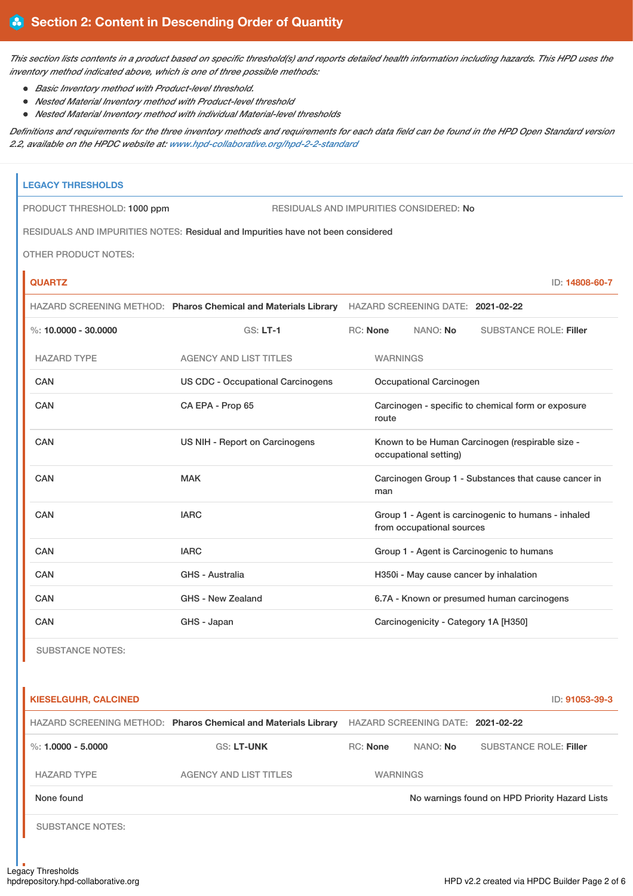This section lists contents in a product based on specific threshold(s) and reports detailed health information including hazards. This HPD uses the *inventory method indicated above, which is one of three possible methods:*

- *Basic Inventory method with Product-level threshold.*
- *Nested Material Inventory method with Product-level threshold*
- *Nested Material Inventory method with individual Material-level thresholds*

Definitions and requirements for the three inventory methods and requirements for each data field can be found in the HPD Open Standard version *2.2, available on the HPDC website at: [www.hpd-collaborative.org/hpd-2-2-standard](https://www.hpd-collaborative.org/hpd-2-2-standard)*

| <b>LEGACY THRESHOLDS</b>    |                                                                                                  |                 |                                        |                                                      |
|-----------------------------|--------------------------------------------------------------------------------------------------|-----------------|----------------------------------------|------------------------------------------------------|
| PRODUCT THRESHOLD: 1000 ppm | RESIDUALS AND IMPURITIES CONSIDERED: No                                                          |                 |                                        |                                                      |
|                             | RESIDUALS AND IMPURITIES NOTES: Residual and Impurities have not been considered                 |                 |                                        |                                                      |
| <b>OTHER PRODUCT NOTES:</b> |                                                                                                  |                 |                                        |                                                      |
| <b>QUARTZ</b>               |                                                                                                  |                 |                                        | ID: 14808-60-7                                       |
|                             | HAZARD SCREENING METHOD: Pharos Chemical and Materials Library HAZARD SCREENING DATE: 2021-02-22 |                 |                                        |                                                      |
| %: $10,0000 - 30,0000$      | $GS: LT-1$                                                                                       | RC: None        | NANO: No                               | <b>SUBSTANCE ROLE: Filler</b>                        |
| <b>HAZARD TYPE</b>          | <b>AGENCY AND LIST TITLES</b>                                                                    | <b>WARNINGS</b> |                                        |                                                      |
| CAN                         | <b>US CDC - Occupational Carcinogens</b>                                                         |                 | Occupational Carcinogen                |                                                      |
| <b>CAN</b>                  | CA EPA - Prop 65                                                                                 | route           |                                        | Carcinogen - specific to chemical form or exposure   |
| CAN                         | US NIH - Report on Carcinogens                                                                   |                 | occupational setting)                  | Known to be Human Carcinogen (respirable size -      |
| CAN                         | <b>MAK</b>                                                                                       | man             |                                        | Carcinogen Group 1 - Substances that cause cancer in |
| CAN                         | <b>IARC</b>                                                                                      |                 | from occupational sources              | Group 1 - Agent is carcinogenic to humans - inhaled  |
| CAN                         | <b>IARC</b>                                                                                      |                 |                                        | Group 1 - Agent is Carcinogenic to humans            |
| CAN                         | <b>GHS - Australia</b>                                                                           |                 | H350i - May cause cancer by inhalation |                                                      |
| <b>CAN</b>                  | GHS - New Zealand                                                                                |                 |                                        | 6.7A - Known or presumed human carcinogens           |
| <b>CAN</b>                  | GHS - Japan                                                                                      |                 | Carcinogenicity - Category 1A [H350]   |                                                      |

SUBSTANCE NOTES:

| <b>KIESELGUHR, CALCINED</b> |                                                                |                 |                                   | ID: 91053-39-3                                 |
|-----------------------------|----------------------------------------------------------------|-----------------|-----------------------------------|------------------------------------------------|
|                             | HAZARD SCREENING METHOD: Pharos Chemical and Materials Library |                 | HAZARD SCREENING DATE: 2021-02-22 |                                                |
| %: $1.0000 - 5.0000$        | <b>GS: LT-UNK</b>                                              | <b>RC:</b> None | NANO: No                          | <b>SUBSTANCE ROLE: Filler</b>                  |
| <b>HAZARD TYPE</b>          | <b>AGENCY AND LIST TITLES</b>                                  | <b>WARNINGS</b> |                                   |                                                |
| None found                  |                                                                |                 |                                   | No warnings found on HPD Priority Hazard Lists |
| <b>SUBSTANCE NOTES:</b>     |                                                                |                 |                                   |                                                |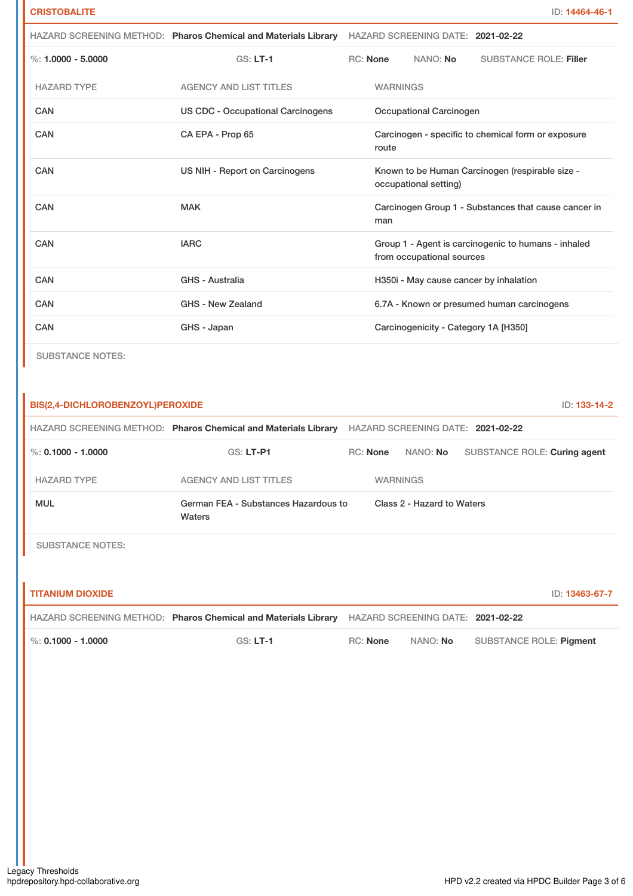|                       |                                   | HAZARD SCREENING METHOD: Pharos Chemical and Materials Library HAZARD SCREENING DATE: 2021-02-22 |                 |                                      |                                                      |
|-----------------------|-----------------------------------|--------------------------------------------------------------------------------------------------|-----------------|--------------------------------------|------------------------------------------------------|
| $\%: 1.0000 - 5.0000$ | $GS: LT-1$                        | <b>RC:</b> None                                                                                  |                 | NANO: No                             | <b>SUBSTANCE ROLE: Filler</b>                        |
| <b>HAZARD TYPE</b>    | <b>AGENCY AND LIST TITLES</b>     |                                                                                                  | <b>WARNINGS</b> |                                      |                                                      |
| <b>CAN</b>            | US CDC - Occupational Carcinogens |                                                                                                  |                 | Occupational Carcinogen              |                                                      |
| CAN                   | CA EPA - Prop 65                  |                                                                                                  | route           |                                      | Carcinogen - specific to chemical form or exposure   |
| CAN                   | US NIH - Report on Carcinogens    |                                                                                                  |                 | occupational setting)                | Known to be Human Carcinogen (respirable size -      |
| <b>CAN</b>            | <b>MAK</b>                        |                                                                                                  | man             |                                      | Carcinogen Group 1 - Substances that cause cancer in |
| CAN                   | <b>IARC</b>                       |                                                                                                  |                 | from occupational sources            | Group 1 - Agent is carcinogenic to humans - inhaled  |
| <b>CAN</b>            | <b>GHS - Australia</b>            |                                                                                                  |                 |                                      | H350i - May cause cancer by inhalation               |
| CAN                   | GHS - New Zealand                 |                                                                                                  |                 |                                      | 6.7A - Known or presumed human carcinogens           |
| CAN                   | GHS - Japan                       |                                                                                                  |                 | Carcinogenicity - Category 1A [H350] |                                                      |
|                       |                                   |                                                                                                  |                 |                                      |                                                      |

SUBSTANCE NOTES:

| BIS(2,4-DICHLOROBENZOYL)PEROXIDE<br>ID: 133-14-2 |                                                                |          |                            |                                   |  |
|--------------------------------------------------|----------------------------------------------------------------|----------|----------------------------|-----------------------------------|--|
|                                                  | HAZARD SCREENING METHOD: Pharos Chemical and Materials Library |          |                            | HAZARD SCREENING DATE: 2021-02-22 |  |
| $\%$ : 0.1000 - 1.0000                           | <b>GS: LT-P1</b>                                               | RC: None | NANO: No                   | SUBSTANCE ROLE: Curing agent      |  |
| <b>HAZARD TYPE</b>                               | <b>AGENCY AND LIST TITLES</b>                                  |          | <b>WARNINGS</b>            |                                   |  |
| <b>MUL</b>                                       | German FEA - Substances Hazardous to<br>Waters                 |          | Class 2 - Hazard to Waters |                                   |  |
| <b>SUBSTANCE NOTES:</b>                          |                                                                |          |                            |                                   |  |
|                                                  |                                                                |          |                            |                                   |  |

| <b>TITANIUM DIOXIDE</b> |                                                                                                  |                 |          | ID: 13463-67-7          |
|-------------------------|--------------------------------------------------------------------------------------------------|-----------------|----------|-------------------------|
|                         | HAZARD SCREENING METHOD: Pharos Chemical and Materials Library HAZARD SCREENING DATE: 2021-02-22 |                 |          |                         |
| $\%$ : 0.1000 - 1.0000  | $GS: LT-1$                                                                                       | <b>RC:</b> None | NANO: No | SUBSTANCE ROLE: Piament |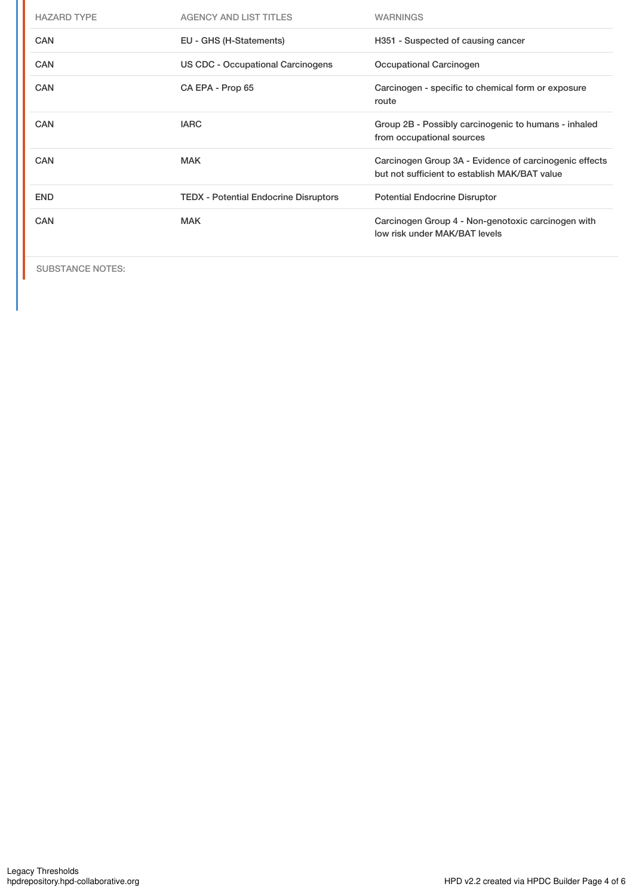| <b>HAZARD TYPE</b> | <b>AGENCY AND LIST TITLES</b>                | <b>WARNINGS</b>                                                                                         |
|--------------------|----------------------------------------------|---------------------------------------------------------------------------------------------------------|
| <b>CAN</b>         | EU - GHS (H-Statements)                      | H351 - Suspected of causing cancer                                                                      |
| <b>CAN</b>         | US CDC - Occupational Carcinogens            | Occupational Carcinogen                                                                                 |
| CAN                | CA EPA - Prop 65                             | Carcinogen - specific to chemical form or exposure<br>route                                             |
| CAN                | <b>IARC</b>                                  | Group 2B - Possibly carcinogenic to humans - inhaled<br>from occupational sources                       |
| <b>CAN</b>         | <b>MAK</b>                                   | Carcinogen Group 3A - Evidence of carcinogenic effects<br>but not sufficient to establish MAK/BAT value |
| <b>END</b>         | <b>TEDX</b> - Potential Endocrine Disruptors | <b>Potential Endocrine Disruptor</b>                                                                    |
| CAN                | <b>MAK</b>                                   | Carcinogen Group 4 - Non-genotoxic carcinogen with<br>low risk under MAK/BAT levels                     |

SUBSTANCE NOTES: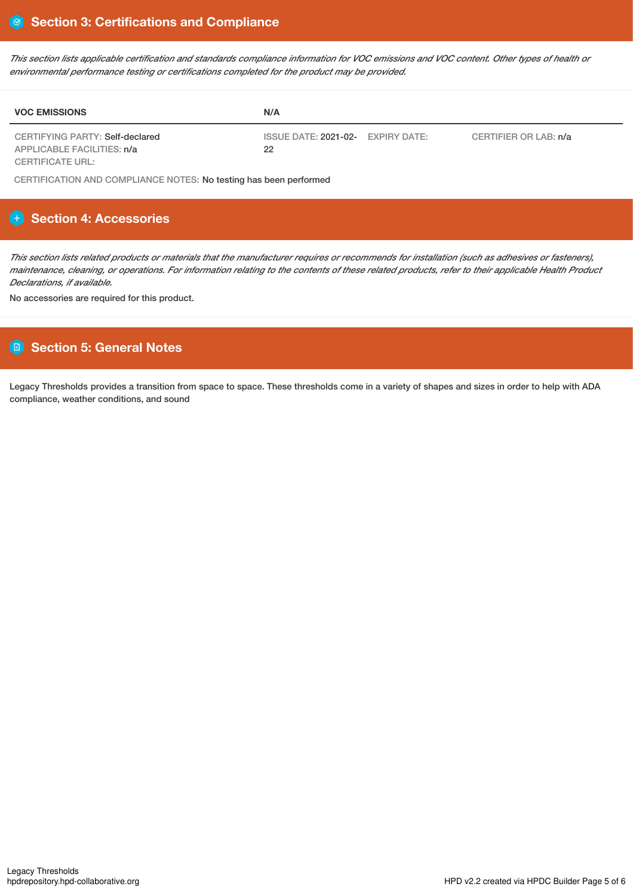This section lists applicable certification and standards compliance information for VOC emissions and VOC content. Other types of health or *environmental performance testing or certifications completed for the product may be provided.*

| <b>VOC EMISSIONS</b>                                          | N/A                                                              |  |
|---------------------------------------------------------------|------------------------------------------------------------------|--|
| CERTIFYING PARTY: Self-declared<br>APPLICABLE FACILITIES: n/a | ISSUE DATE: 2021-02- EXPIRY DATE:<br>CERTIFIER OR LAB: n/a<br>22 |  |
| <b>CERTIFICATE URL:</b>                                       |                                                                  |  |

CERTIFICATION AND COMPLIANCE NOTES: No testing has been performed

# **Section 4: Accessories**

This section lists related products or materials that the manufacturer requires or recommends for installation (such as adhesives or fasteners), maintenance, cleaning, or operations. For information relating to the contents of these related products, refer to their applicable Health Product *Declarations, if available.*

No accessories are required for this product.

# **Section 5: General Notes**

Legacy Thresholds provides a transition from space to space. These thresholds come in a variety of shapes and sizes in order to help with ADA compliance, weather conditions, and sound